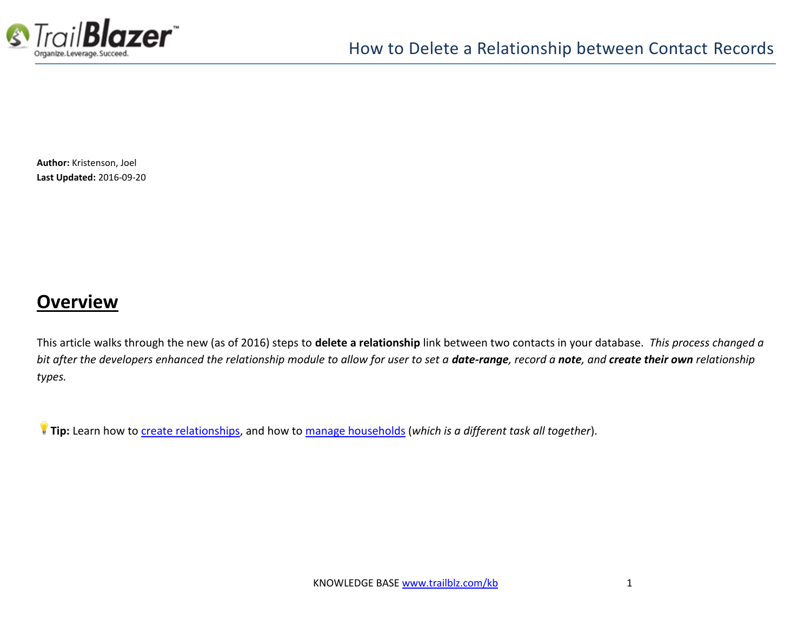

**Author:** Kristenson, Joel **Last Updated:** 2016-09-20

#### **Overview**

This article walks through the new (as of 2016) steps to **delete a relationship** link between two contacts in your database. *This process changed a bit after the developers enhanced the relationship module to allow for user to set a date-range, record a note, and create their own relationship types.*

**Tip:** Learn how to [create relationships,](http://trailblz.com/kb/?action=view&kb=274&cat=1) and how to [manage households](http://trailblz.com/kb/?action=view&kb=213&cat=1) (*which is a different task all together*).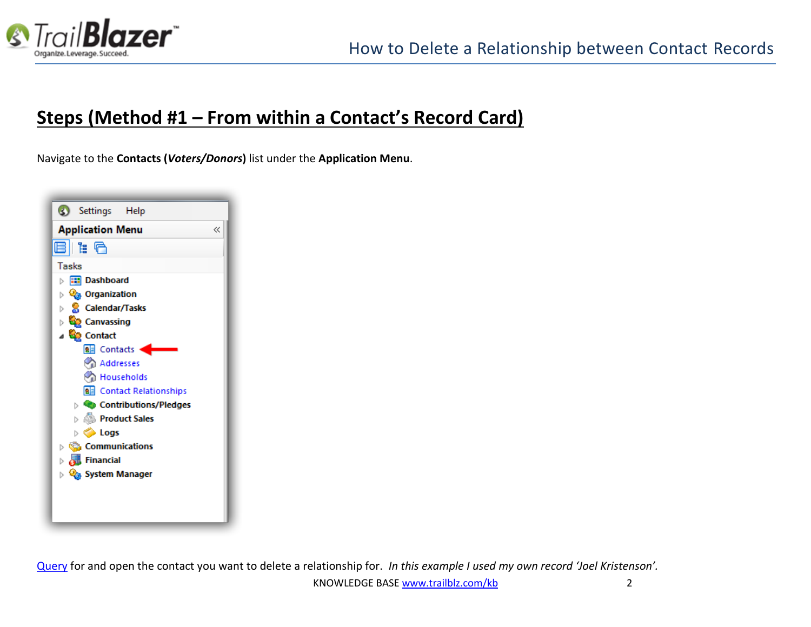

# **Steps (Method #1 – From within a Contact's Record Card)**

Navigate to the **Contacts (***Voters/Donors***)** list under the **Application Menu**.



[Query](https://www.youtube.com/watch?v=j_oxB4NGwD0) for and open the contact you want to delete a relationship for. *In this example I used my own record 'Joel Kristenson'.*

KNOWLEDGE BAS[E www.trailblz.com/kb](http://www.trailblz.com/kb) 2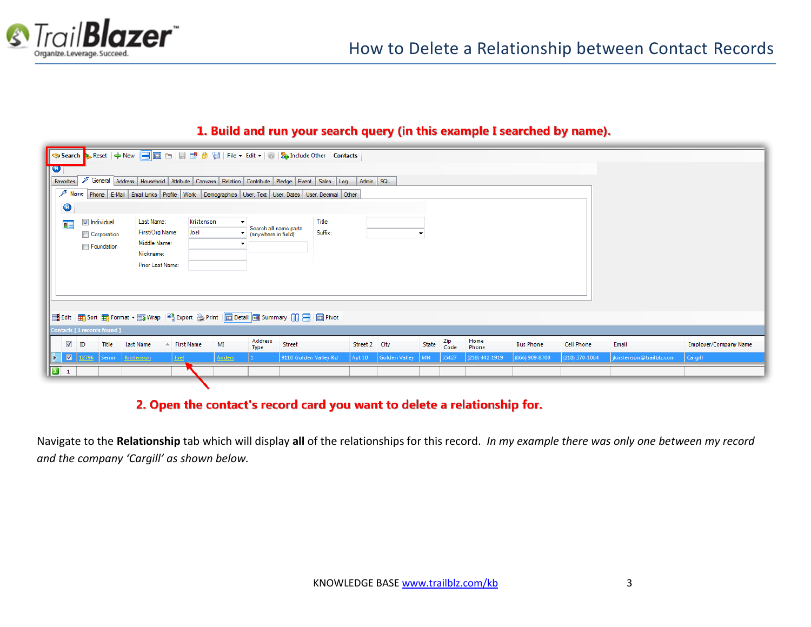

#### 1. Build and run your search query (in this example I searched by name).

| IV.           |                                                                                                                                     |                                 |                                                                                            |               |                                              |                       |         |               |               |       |             |                    |                  |                   |                          |                              |
|---------------|-------------------------------------------------------------------------------------------------------------------------------------|---------------------------------|--------------------------------------------------------------------------------------------|---------------|----------------------------------------------|-----------------------|---------|---------------|---------------|-------|-------------|--------------------|------------------|-------------------|--------------------------|------------------------------|
|               | General Address   Household   Attribute   Canvass   Relation   Contribute   Pledge   Event   Sales   Log   Admin   SQL<br>Favorites |                                 |                                                                                            |               |                                              |                       |         |               |               |       |             |                    |                  |                   |                          |                              |
|               | $\sqrt{2}$ Name<br>Phone E-Mail Email Links Profile Work Demographics User, Text User, Dates User, Decimal Other                    |                                 |                                                                                            |               |                                              |                       |         |               |               |       |             |                    |                  |                   |                          |                              |
|               | $\bullet$                                                                                                                           |                                 |                                                                                            |               |                                              |                       |         |               |               |       |             |                    |                  |                   |                          |                              |
|               | 8                                                                                                                                   | Individual                      | Last Name:                                                                                 | Kristenson    |                                              |                       | Title:  |               |               |       |             |                    |                  |                   |                          |                              |
|               |                                                                                                                                     | Corporation                     | First/Org Name:                                                                            | Joel          | Search all name parts<br>(anywhere in field) |                       | Suffix: |               |               |       |             |                    |                  |                   |                          |                              |
|               |                                                                                                                                     | Foundation                      | Middle Name:                                                                               |               |                                              |                       |         |               |               |       |             |                    |                  |                   |                          |                              |
|               |                                                                                                                                     |                                 | Nickname:                                                                                  |               |                                              |                       |         |               |               |       |             |                    |                  |                   |                          |                              |
|               |                                                                                                                                     |                                 | Prior Last Name:                                                                           |               |                                              |                       |         |               |               |       |             |                    |                  |                   |                          |                              |
|               |                                                                                                                                     |                                 |                                                                                            |               |                                              |                       |         |               |               |       |             |                    |                  |                   |                          |                              |
|               |                                                                                                                                     |                                 |                                                                                            |               |                                              |                       |         |               |               |       |             |                    |                  |                   |                          |                              |
|               |                                                                                                                                     |                                 |                                                                                            |               |                                              |                       |         |               |               |       |             |                    |                  |                   |                          |                              |
|               |                                                                                                                                     |                                 | Es Edit   田 Sort 田 Format ▼ m Wrap   2 Export ۞ Print   ■ Detail ■ Summary   1 日   ■ Pivot |               |                                              |                       |         |               |               |       |             |                    |                  |                   |                          |                              |
|               |                                                                                                                                     | Contacts [1 records found]      |                                                                                            |               |                                              |                       |         |               |               |       |             |                    |                  |                   |                          |                              |
|               | $\blacktriangledown$<br>ID                                                                                                          | Title                           | <b>Last Name</b><br>$\triangle$ First Name                                                 | MI            | Address<br>Type                              | Street                |         | Street 2 City |               | State | Zip<br>Code | Home<br>Phone      | <b>Bus Phone</b> | <b>Cell Phone</b> | Email                    | <b>Employer/Company Name</b> |
| ⊪⊳            |                                                                                                                                     | <b>M</b> 12796 Senor Kristenson | <b>Joel</b>                                                                                | <b>Anders</b> |                                              | 9110 Golden Valley Rd |         | Apt10         | Golden Valley | M     | 55427       | $(218) 442 - 1919$ | (866) 909-8700   | (218) 370-1064    | jkristenson@trailblz.com | Cargill                      |
| $\boxed{2}$ 1 |                                                                                                                                     |                                 |                                                                                            |               |                                              |                       |         |               |               |       |             |                    |                  |                   |                          |                              |

#### 2. Open the contact's record card you want to delete a relationship for.

Navigate to the **Relationship** tab which will display **all** of the relationships for this record. *In my example there was only one between my record and the company 'Cargill' as shown below.*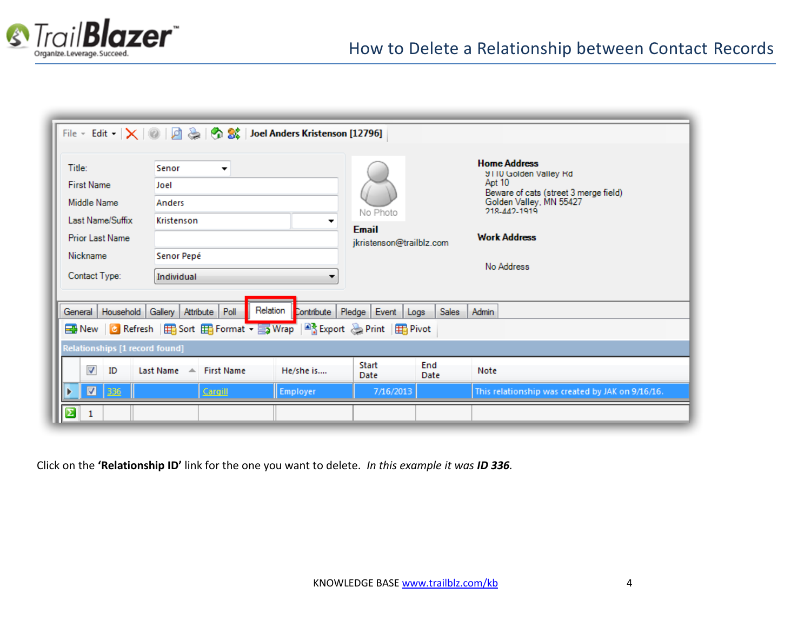

|                                                  | File v Edit v $ \times  \otimes   \mathcal{Q}  \geqslant  \mathcal{Q}  \otimes$   $\mathcal{Q}  \otimes$   Joel Anders Kristenson [12796] |           |                                          |              |                                                     |  |  |  |  |  |  |  |
|--------------------------------------------------|-------------------------------------------------------------------------------------------------------------------------------------------|-----------|------------------------------------------|--------------|-----------------------------------------------------|--|--|--|--|--|--|--|
|                                                  |                                                                                                                                           |           |                                          |              |                                                     |  |  |  |  |  |  |  |
| Title:                                           | Senor<br>▼                                                                                                                                |           |                                          |              | <b>Home Address</b><br><b>9110 Golden Valley Rd</b> |  |  |  |  |  |  |  |
| <b>First Name</b>                                | Joel                                                                                                                                      |           |                                          |              | Apt 10<br>Beware of cats (street 3 merge field)     |  |  |  |  |  |  |  |
| Middle Name                                      | <b>Anders</b>                                                                                                                             |           | No Photo                                 |              | Golden Valley, MN 55427<br>218-442-1919             |  |  |  |  |  |  |  |
| Last Name/Suffix                                 | Kristenson                                                                                                                                | ▼         |                                          |              |                                                     |  |  |  |  |  |  |  |
| <b>Prior Last Name</b>                           |                                                                                                                                           |           | <b>Email</b><br>jkristenson@trailblz.com |              | <b>Work Address</b>                                 |  |  |  |  |  |  |  |
| Nickname                                         | Senor Pepé                                                                                                                                |           |                                          |              |                                                     |  |  |  |  |  |  |  |
| Contact Type:                                    | Individual                                                                                                                                | ▼         | No Address                               |              |                                                     |  |  |  |  |  |  |  |
|                                                  |                                                                                                                                           |           |                                          |              |                                                     |  |  |  |  |  |  |  |
|                                                  |                                                                                                                                           |           |                                          |              |                                                     |  |  |  |  |  |  |  |
| General   Household   Gallery   Attribute   Poll | Relation                                                                                                                                  |           | Contribute   Pledge   Event   Logs       | <b>Sales</b> | Admin                                               |  |  |  |  |  |  |  |
|                                                  | Bin New   C Refresh   田 Sort 田 Format • 国 Wrap   Bis Export & Print   田 Pivot                                                             |           |                                          |              |                                                     |  |  |  |  |  |  |  |
| Relationships [1 record found]                   |                                                                                                                                           |           |                                          |              |                                                     |  |  |  |  |  |  |  |
| $\overline{\mathbf{v}}$<br>ID                    | Last Name A First Name                                                                                                                    | He/she is | Start<br>Date                            | End<br>Date  | Note                                                |  |  |  |  |  |  |  |
| $\blacksquare$<br>336                            | Cargill                                                                                                                                   | Employer  | 7/16/2013                                |              | This relationship was created by JAK on 9/16/16.    |  |  |  |  |  |  |  |
|                                                  |                                                                                                                                           |           |                                          |              |                                                     |  |  |  |  |  |  |  |

Click on the **'Relationship ID'** link for the one you want to delete. *In this example it was ID 336.*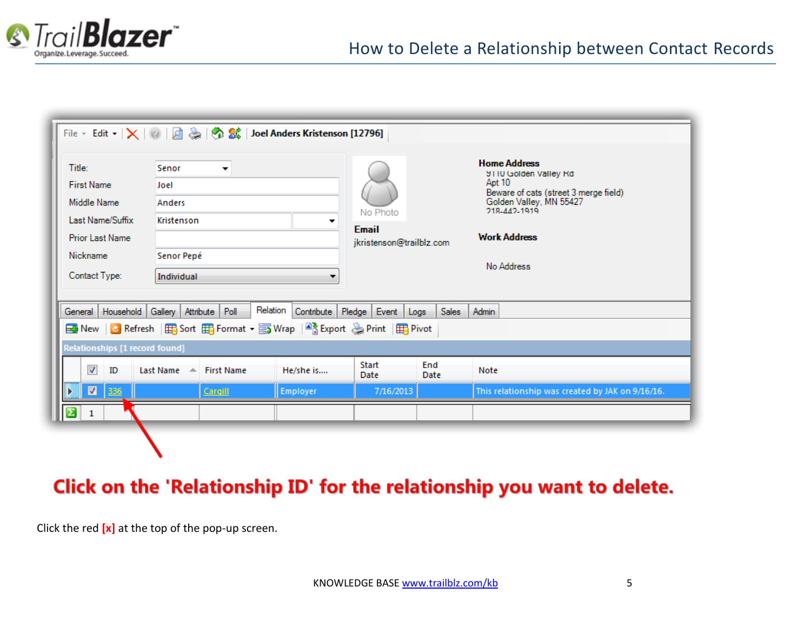

| Title:<br><b>First Name</b><br>Middle Name<br>Last Name/Suffix<br><b>Prior Last Name</b><br>Nickname<br>Contact Type: | ▼<br>▼                                                                                                                            | No Photo<br><b>Email</b><br>jkristenson@trailblz.com |                                    | <b>Home Address</b><br><b>9110 Golden Valley Rd</b><br>Apt 10<br>Beware of cats (street 3 merge field)<br>Golden Valley, MN 55427<br>218-442-1919<br><b>Work Address</b><br>No Address |                                                  |  |  |  |
|-----------------------------------------------------------------------------------------------------------------------|-----------------------------------------------------------------------------------------------------------------------------------|------------------------------------------------------|------------------------------------|----------------------------------------------------------------------------------------------------------------------------------------------------------------------------------------|--------------------------------------------------|--|--|--|
|                                                                                                                       | General   Household   Gallery   Attribute   Poll<br><b>Export</b> a Print   田 Sort 田 Format ▼ 国 Wrap   ■ Export a Print   田 Pivot | Relation                                             | Contribute   Pledge   Event   Logs | <b>Sales</b>                                                                                                                                                                           | Admin                                            |  |  |  |
| Relationships [1 record found]                                                                                        |                                                                                                                                   |                                                      |                                    |                                                                                                                                                                                        |                                                  |  |  |  |
| $\overline{\mathbf{v}}$<br>ID                                                                                         | Last Name $\triangle$<br><b>First Name</b>                                                                                        | He/she is                                            | Start<br><b>Date</b>               | End<br>Date                                                                                                                                                                            | Note                                             |  |  |  |
| $\blacksquare$<br>336                                                                                                 | Cargill                                                                                                                           | Employer                                             | 7/16/2013                          |                                                                                                                                                                                        | This relationship was created by JAK on 9/16/16. |  |  |  |
| 1                                                                                                                     |                                                                                                                                   |                                                      |                                    |                                                                                                                                                                                        |                                                  |  |  |  |

# Click on the 'Relationship ID' for the relationship you want to delete.

Click the red **[x]** at the top of the pop-up screen.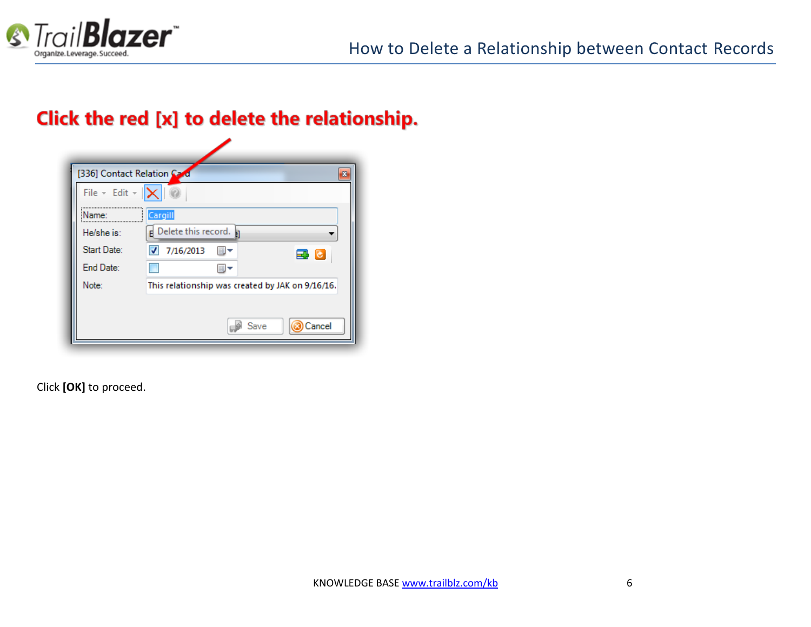

### Click the red [x] to delete the relationship.

| [336] Contact Relation Card          | ×                                                |
|--------------------------------------|--------------------------------------------------|
| File $\sim$ Edit $\sim$ $\mathbf{X}$ |                                                  |
| <br>Name:                            | Cargill                                          |
| He/she is:                           | p Delete this record.                            |
| Start Date:                          | $\overline{\mathbf{v}}$<br>7/16/2013<br>과 년      |
| End Date:                            |                                                  |
| Note:                                | This relationship was created by JAK on 9/16/16. |
|                                      |                                                  |
|                                      | Cancel<br>Save                                   |

Click **[OK]** to proceed.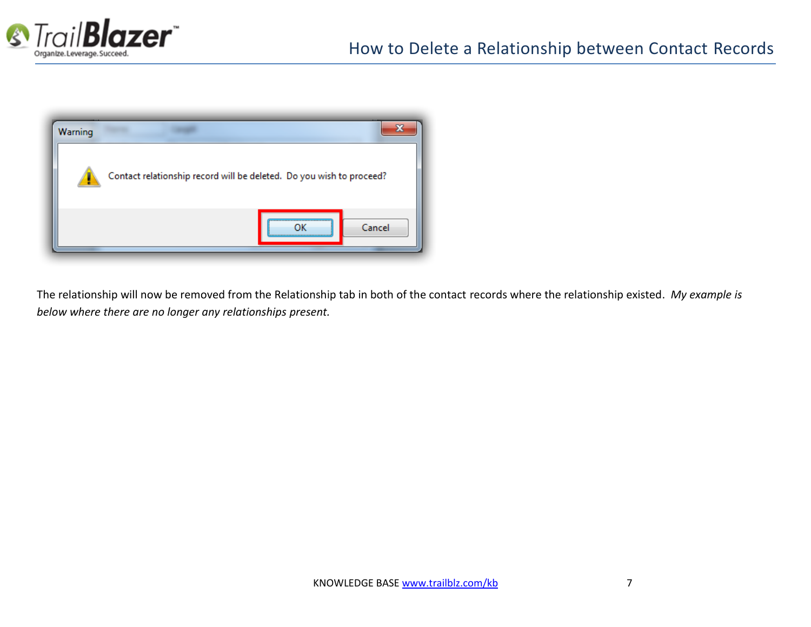



The relationship will now be removed from the Relationship tab in both of the contact records where the relationship existed. *My example is below where there are no longer any relationships present.*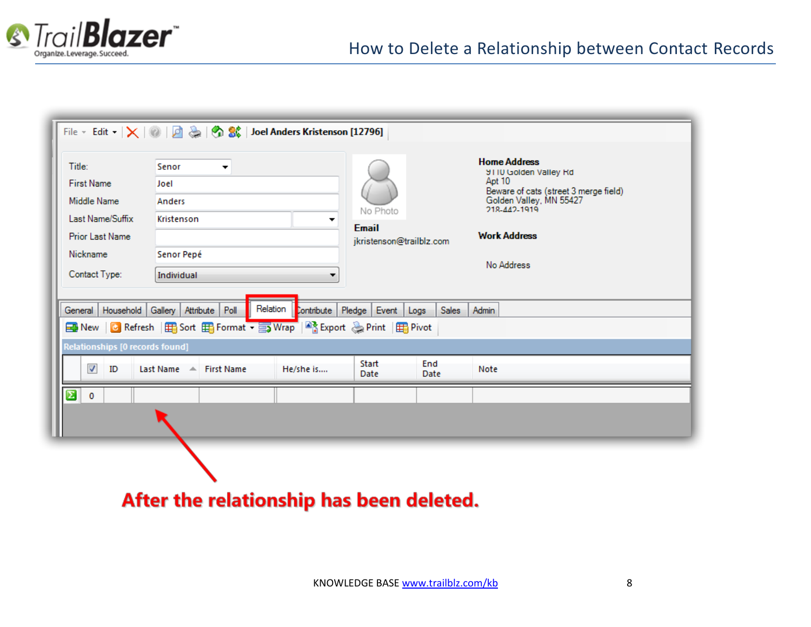

|                                                                         | File v Edit v $ \times $ 0   0 $\frac{1}{22}$   0 $\frac{1}{22}$   0 $\frac{1}{22}$   Joel Anders Kristenson [12796]                                                                                                  |  |                                                      |  |                                                                                                                            |  |  |  |  |  |  |
|-------------------------------------------------------------------------|-----------------------------------------------------------------------------------------------------------------------------------------------------------------------------------------------------------------------|--|------------------------------------------------------|--|----------------------------------------------------------------------------------------------------------------------------|--|--|--|--|--|--|
| Title:<br><b>First Name</b><br>Middle Name                              | Senor<br>▼<br>Joel<br>Anders                                                                                                                                                                                          |  |                                                      |  | <b>Home Address</b><br>9110 Golden Valley Rd<br>Apt 10<br>Beware of cats (street 3 merge field)<br>Golden Valley, MN 55427 |  |  |  |  |  |  |
| Last Name/Suffix<br><b>Prior Last Name</b><br>Nickname<br>Contact Type: | Kristenson<br>Senor Pepé                                                                                                                                                                                              |  | No Photo<br><b>Email</b><br>jkristenson@trailblz.com |  | 218-442-1919<br><b>Work Address</b><br>No Address                                                                          |  |  |  |  |  |  |
| General                                                                 | Individual<br>▼<br>Relation<br>Household Gallery   Attribute   Poll<br>Contribute   Pledge<br><b>Sales</b><br>Event<br>Admin<br>Logs<br><b>Export</b> a Print   田 Sort 田 Format ▼ 国 Wrap   B Export a Print   田 Pivot |  |                                                      |  |                                                                                                                            |  |  |  |  |  |  |
| $\overline{\mathbf{v}}$<br>ID                                           | Relationships [0 records found]<br>End<br>Start<br>Last Name $\mathbb{A}$ First Name<br>He/she is<br>Note<br>Date<br>Date                                                                                             |  |                                                      |  |                                                                                                                            |  |  |  |  |  |  |
| Σ<br>0                                                                  |                                                                                                                                                                                                                       |  |                                                      |  |                                                                                                                            |  |  |  |  |  |  |

After the relationship has been deleted.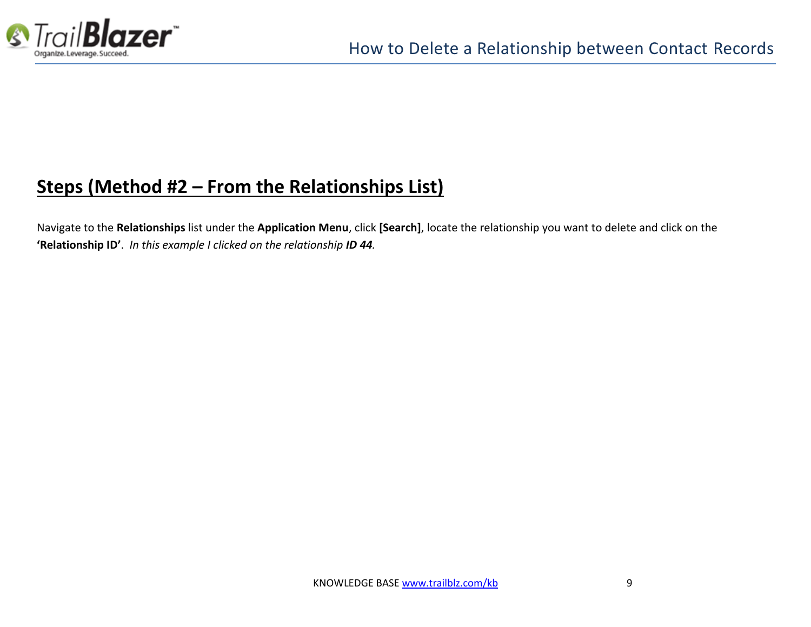

# **Steps (Method #2 – From the Relationships List)**

Navigate to the **Relationships** list under the **Application Menu**, click **[Search]**, locate the relationship you want to delete and click on the **'Relationship ID'**. *In this example I clicked on the relationship ID 44.*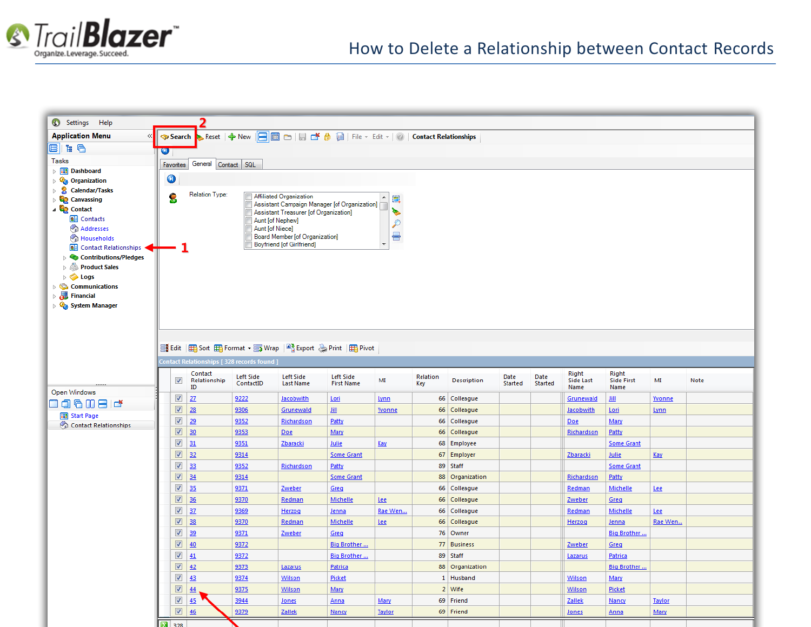

| (3) Settings Help                                                                                                      |                                                                                                      |                               |                                                                    |                                       |                          |                 |                             |                 |                 |                            |                                    |               |      |
|------------------------------------------------------------------------------------------------------------------------|------------------------------------------------------------------------------------------------------|-------------------------------|--------------------------------------------------------------------|---------------------------------------|--------------------------|-----------------|-----------------------------|-----------------|-----------------|----------------------------|------------------------------------|---------------|------|
| <b>Application Menu</b><br>$\ll$                                                                                       | <b>◆ Search → Reset   ← New   日</b> 画 □   日 □ <i>色</i> 圖   File - Edit -   ②   Contact Relationships |                               |                                                                    |                                       |                          |                 |                             |                 |                 |                            |                                    |               |      |
| e ka                                                                                                                   | σ                                                                                                    |                               |                                                                    |                                       |                          |                 |                             |                 |                 |                            |                                    |               |      |
| <b>Tasks</b>                                                                                                           | Favorites General Contact SQL                                                                        |                               |                                                                    |                                       |                          |                 |                             |                 |                 |                            |                                    |               |      |
| <b>Dashboard</b><br>$\triangleright$ $\Box$<br>$\bullet$<br><sup>Q</sup> <sub>o</sub> Organization<br>$\triangleright$ |                                                                                                      |                               |                                                                    |                                       |                          |                 |                             |                 |                 |                            |                                    |               |      |
|                                                                                                                        |                                                                                                      |                               |                                                                    |                                       |                          |                 |                             |                 |                 |                            |                                    |               |      |
| 2<br>Calendar/Tasks<br>$\triangleright$<br><b>Canvassing</b>                                                           | Relation Type:<br>S                                                                                  |                               | <b>Affiliated Organization</b>                                     |                                       | $\blacktriangle$<br>E,   |                 |                             |                 |                 |                            |                                    |               |      |
| ⊿ Contact                                                                                                              |                                                                                                      |                               | Assistant Campaign Manager [of Organization]                       |                                       | P.                       |                 |                             |                 |                 |                            |                                    |               |      |
| <b>BE</b> Contacts                                                                                                     |                                                                                                      |                               | Assistant Treasurer [of Organization]<br>Aunt [of Nephew]          |                                       | $\mathcal{P}$            |                 |                             |                 |                 |                            |                                    |               |      |
| Addresses                                                                                                              |                                                                                                      | Aunt [of Niece]               |                                                                    |                                       | 름                        |                 |                             |                 |                 |                            |                                    |               |      |
| Households<br><b>BE</b> Contact Relationships                                                                          |                                                                                                      |                               | Board Member [of Organization]<br><b>Boyfriend [of Girlfriend]</b> |                                       | $\overline{\phantom{a}}$ |                 |                             |                 |                 |                            |                                    |               |      |
| <b>Contributions/Pledges</b>                                                                                           |                                                                                                      |                               |                                                                    |                                       |                          |                 |                             |                 |                 |                            |                                    |               |      |
| Product Sales                                                                                                          |                                                                                                      |                               |                                                                    |                                       |                          |                 |                             |                 |                 |                            |                                    |               |      |
| $\triangleright$ $\blacktriangleright$ Logs                                                                            |                                                                                                      |                               |                                                                    |                                       |                          |                 |                             |                 |                 |                            |                                    |               |      |
| $\triangleright$ $\mathbb{C}$ Communications<br><b>Financial</b>                                                       |                                                                                                      |                               |                                                                    |                                       |                          |                 |                             |                 |                 |                            |                                    |               |      |
| $\triangleright$<br><b>Q<sub>a</sub></b> System Manager                                                                |                                                                                                      |                               |                                                                    |                                       |                          |                 |                             |                 |                 |                            |                                    |               |      |
|                                                                                                                        |                                                                                                      |                               |                                                                    |                                       |                          |                 |                             |                 |                 |                            |                                    |               |      |
|                                                                                                                        |                                                                                                      |                               |                                                                    |                                       |                          |                 |                             |                 |                 |                            |                                    |               |      |
|                                                                                                                        |                                                                                                      |                               |                                                                    |                                       |                          |                 |                             |                 |                 |                            |                                    |               |      |
|                                                                                                                        | Print   H Sort H Format + S Wrap   A Export & Print   H Pivot                                        |                               |                                                                    |                                       |                          |                 |                             |                 |                 |                            |                                    |               |      |
|                                                                                                                        | Contact Relationships [328 records found ]                                                           |                               |                                                                    |                                       |                          |                 |                             |                 |                 |                            |                                    |               |      |
|                                                                                                                        | Contact<br>$\blacktriangledown$<br>Relationship<br>ID                                                | <b>Left Side</b><br>ContactID | <b>Left Side</b><br><b>Last Name</b>                               | <b>Left Side</b><br><b>First Name</b> | MI                       | Relation<br>Key | Description                 | Date<br>Started | Date<br>Started | Right<br>Side Last<br>Name | Right<br><b>Side First</b><br>Name | MI            | Note |
| Open Windows                                                                                                           | $\sqrt{2}$<br>27                                                                                     | 9222                          | <b>Jacobwith</b>                                                   | Lori                                  | Lynn                     |                 | 66 Colleague                |                 |                 | Grunewald                  | Jill                               | Yvonne        |      |
| 006086                                                                                                                 | $\overline{\mathbf{v}}$<br>28                                                                        | 9306                          | Grunewald                                                          | Jill                                  | <b>Yvonne</b>            |                 | 66 Colleague                |                 |                 | Jacobwith                  | Lori                               | Lynn          |      |
| <b>Hill</b> Start Page<br>Contact Relationships                                                                        | $\blacktriangledown$<br>29                                                                           | 9352                          | Richardson                                                         | Patty                                 |                          |                 | 66 Colleague                |                 |                 | Doe                        | Mary                               |               |      |
|                                                                                                                        | $\overline{\mathbf{v}}$<br>30                                                                        | 9353                          | Doe                                                                | Mary                                  |                          |                 | 66 Colleague                |                 |                 | Richardson                 | Patty                              |               |      |
|                                                                                                                        | $\overline{\mathbf{v}}$<br>31                                                                        | 9351                          | Zbaracki                                                           | Julie                                 | Kay                      |                 | 68 Employee                 |                 |                 |                            | <b>Some Grant</b>                  |               |      |
|                                                                                                                        | $\overline{\mathbf{v}}$<br>32                                                                        | 9314                          |                                                                    | <b>Some Grant</b>                     |                          |                 | 67 Employer                 |                 |                 | Zbaracki                   | Julie                              | <u>Kay</u>    |      |
|                                                                                                                        | $\overline{\mathbf{v}}$<br> 33                                                                       | 9352                          | Richardson                                                         | Patty                                 |                          |                 | 89 Staff                    |                 |                 |                            | <b>Some Grant</b>                  |               |      |
|                                                                                                                        | $\overline{\mathbf{v}}$<br>34                                                                        | 9314                          |                                                                    | <b>Some Grant</b>                     |                          |                 | 88 Organization             |                 |                 | Richardson                 | Patty                              |               |      |
|                                                                                                                        | $\sqrt{ }$<br>35                                                                                     | 9371                          | Zweber                                                             | Greg                                  |                          |                 | 66 Colleague                |                 |                 | Redman                     | Michelle                           | <u>Lee</u>    |      |
|                                                                                                                        | $\overline{\mathbf{v}}$<br>36                                                                        | 9370                          | Redman                                                             | Michelle                              | Lee                      |                 | 66 Colleague                |                 |                 | Zweber                     | Greg                               |               |      |
|                                                                                                                        | $\sqrt{ }$<br>37                                                                                     | 9369                          | Herzog                                                             | Jenna                                 | Rae Wen                  |                 | 66 Colleague                |                 |                 | Redman                     | Michelle                           | Lee           |      |
|                                                                                                                        | $\overline{\mathbf{v}}$<br>38                                                                        | 9370                          | Redman                                                             | Michelle                              | Lee                      |                 | 66 Colleague                |                 |                 | Herzog                     | Jenna                              | Rae Wen       |      |
|                                                                                                                        | $\sqrt{ }$<br>39                                                                                     | 9371                          | Zweber                                                             | Greg                                  |                          |                 | 76 Owner                    |                 |                 |                            | Big Brother                        |               |      |
|                                                                                                                        | $\overline{\mathbf{v}}$<br>40                                                                        | 9372                          |                                                                    | Big Brother                           |                          |                 | 77 Business                 |                 |                 | Zweber                     | Greg                               |               |      |
|                                                                                                                        | $\blacktriangledown$<br>$\frac{41}{2}$<br>$\overline{\mathbf{v}}$<br>42                              | 9372<br>9373                  |                                                                    | Big Brother                           |                          |                 | 89 Staff<br>88 Organization |                 |                 | Lazarus                    | Patrica                            |               |      |
|                                                                                                                        | $\blacktriangledown$<br>43                                                                           | 9374                          | Lazarus<br>Wilson                                                  | Patrica<br>Picket                     |                          |                 | 1 Husband                   |                 |                 | Wilson                     | Big Brother<br>Mary                |               |      |
|                                                                                                                        | $\overline{\mathbf{v}}$<br>44                                                                        | 9375                          | Wilson                                                             | Mary                                  |                          |                 | 2 Wife                      |                 |                 | Wilson                     | Picket                             |               |      |
|                                                                                                                        | $\overline{\mathbf{v}}$<br>45                                                                        | 3944                          | Jones                                                              | Anna                                  | Mary                     |                 | 69 Friend                   |                 |                 | Zallek                     | Nancy                              | <b>Taylor</b> |      |
|                                                                                                                        | $\overline{\mathbf{v}}$<br>46                                                                        | 9379                          | Zallek                                                             | Nancy                                 | <b>Taylor</b>            |                 | 69 Friend                   |                 |                 | Jones                      | Anna                               | Mary          |      |
|                                                                                                                        | 209                                                                                                  |                               |                                                                    |                                       |                          |                 |                             |                 |                 |                            |                                    |               |      |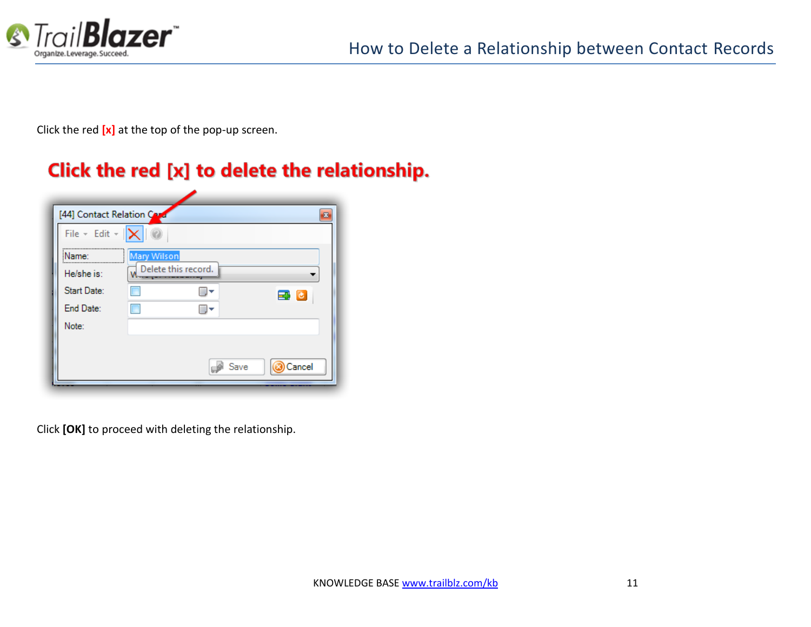

Click the red **[x]** at the top of the pop-up screen.

# Click the red [x] to delete the relationship.

| [44] Contact Relation Card                 |                    |      |        |
|--------------------------------------------|--------------------|------|--------|
| File $\star$ Edit $\star$ $\ \mathsf{X}\ $ |                    |      |        |
| <br>Name:                                  | Mary Wilson        |      |        |
| He/she is:                                 | Where this record. |      |        |
| Start Date:                                |                    |      | 국 년    |
| End Date:                                  |                    |      |        |
| Note:                                      |                    |      |        |
|                                            |                    |      |        |
|                                            |                    | Save | Cancel |

Click **[OK]** to proceed with deleting the relationship.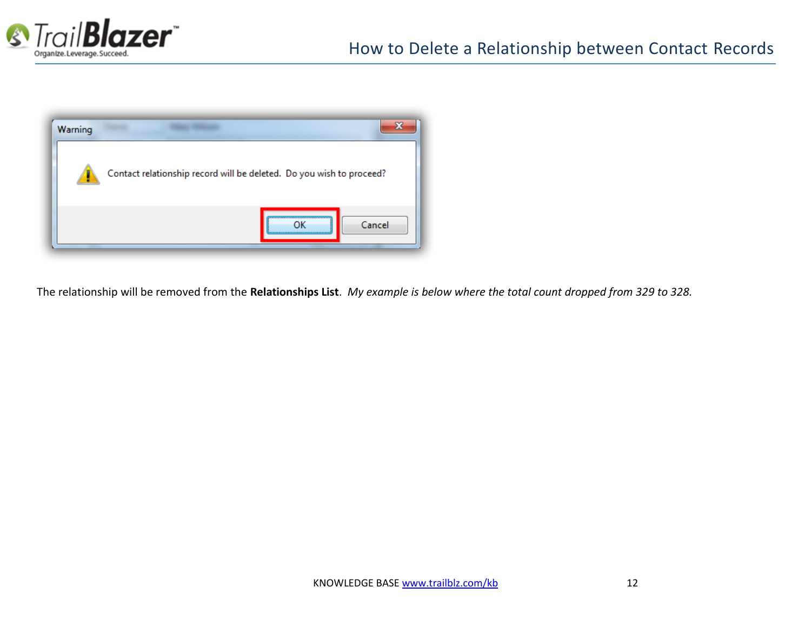



The relationship will be removed from the **Relationships List**. *My example is below where the total count dropped from 329 to 328.*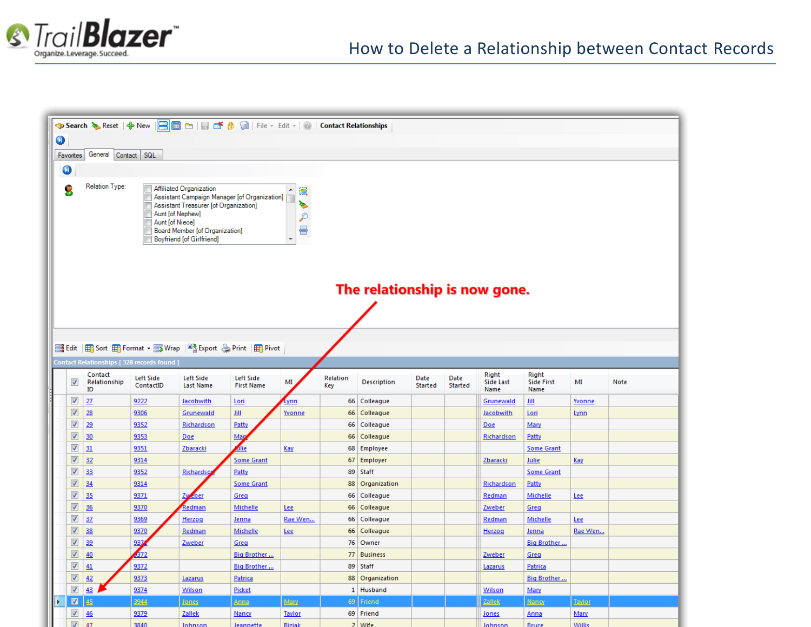

|   | <b>◆ Search ◆ Reset   ◆ New   日</b> 圖 ○   日 □ <i>台</i> 圖   File · Edit ·   ②   Contact Relationships |                                                   |           |                                                                                       |                   |             |          |                               |         |         |                    |                            |               |      |
|---|------------------------------------------------------------------------------------------------------|---------------------------------------------------|-----------|---------------------------------------------------------------------------------------|-------------------|-------------|----------|-------------------------------|---------|---------|--------------------|----------------------------|---------------|------|
|   | 0                                                                                                    |                                                   |           |                                                                                       |                   |             |          |                               |         |         |                    |                            |               |      |
|   | General Contact SQL<br>Favorites                                                                     |                                                   |           |                                                                                       |                   |             |          |                               |         |         |                    |                            |               |      |
|   |                                                                                                      |                                                   |           |                                                                                       |                   |             |          |                               |         |         |                    |                            |               |      |
|   | 0                                                                                                    |                                                   |           |                                                                                       |                   |             |          |                               |         |         |                    |                            |               |      |
|   | Relation Type:<br>Affiliated Organization<br>S<br>▲<br>E,                                            |                                                   |           |                                                                                       |                   |             |          |                               |         |         |                    |                            |               |      |
|   |                                                                                                      |                                                   |           | Assistant Campaign Manager [of Organization]<br>Assistant Treasurer [of Organization] |                   | i.          |          |                               |         |         |                    |                            |               |      |
|   |                                                                                                      |                                                   |           | Aunt [of Nephew]                                                                      |                   | P           |          |                               |         |         |                    |                            |               |      |
|   | Aunt [of Niece]<br>름<br>Board Member [of Organization]                                               |                                                   |           |                                                                                       |                   |             |          |                               |         |         |                    |                            |               |      |
|   | <b>Boyfriend [of Girlfriend]</b><br>$\overline{\mathcal{N}}$                                         |                                                   |           |                                                                                       |                   |             |          |                               |         |         |                    |                            |               |      |
|   |                                                                                                      |                                                   |           |                                                                                       |                   |             |          |                               |         |         |                    |                            |               |      |
|   |                                                                                                      |                                                   |           |                                                                                       |                   |             |          |                               |         |         |                    |                            |               |      |
|   |                                                                                                      |                                                   |           |                                                                                       |                   |             |          |                               |         |         |                    |                            |               |      |
|   |                                                                                                      |                                                   |           |                                                                                       |                   |             |          |                               |         |         |                    |                            |               |      |
|   |                                                                                                      |                                                   |           |                                                                                       |                   |             |          | The relationship is now gone. |         |         |                    |                            |               |      |
|   |                                                                                                      |                                                   |           |                                                                                       |                   |             |          |                               |         |         |                    |                            |               |      |
|   |                                                                                                      |                                                   |           |                                                                                       |                   |             |          |                               |         |         |                    |                            |               |      |
|   |                                                                                                      |                                                   |           |                                                                                       |                   |             |          |                               |         |         |                    |                            |               |      |
|   |                                                                                                      |                                                   |           | 들 Edit   田 Sort 田 Format • - Wrap   약 Export ⓒ Print   田 Pivot                        |                   |             |          |                               |         |         |                    |                            |               |      |
|   |                                                                                                      |                                                   |           |                                                                                       |                   |             |          |                               |         |         |                    |                            |               |      |
|   |                                                                                                      | <b>Contact Relationships [328 records found ]</b> |           |                                                                                       |                   |             |          |                               |         |         |                    |                            |               |      |
|   | $\overline{\mathbf{v}}$                                                                              | Contact<br>Relationship                           | Left Side | <b>Left Side</b>                                                                      | Left Side         | MI          | Relation | Description                   | Date    | Date    | Right<br>Side Last | Right<br><b>Side First</b> | MI            | Note |
|   |                                                                                                      | ID                                                | ContactID | <b>Last Name</b>                                                                      | <b>First Name</b> |             | Key      |                               | Started | Started | Name               | Name                       |               |      |
|   | $\blacktriangledown$                                                                                 | 27                                                | 9222      | <b>Jacobwith</b>                                                                      | Lori              | <u>Lynn</u> |          | 66 Colleague                  |         |         | Grunewald          | Jill                       | Yvonne        |      |
|   | $\triangledown$                                                                                      | 28                                                | 9306      | Grunewald                                                                             | 皿                 | Yvonne      |          | 66 Colleague                  |         |         | Jacobwith          | Lori                       | Lynn          |      |
|   | $\sqrt{2}$                                                                                           | 29                                                | 9352      | Richardson                                                                            | Patty             |             |          | 66 Colleague                  |         |         | <b>Doe</b>         | Mary                       |               |      |
|   | $\triangledown$                                                                                      | 30                                                | 9353      | Doe                                                                                   | Map               |             |          | 66 Colleague                  |         |         | Richardson         | Patty                      |               |      |
|   | $\blacktriangledown$                                                                                 | 31                                                | 9351      | Zbaracki                                                                              | dlie              | <b>Kay</b>  |          | 68 Employee                   |         |         |                    | <b>Some Grant</b>          |               |      |
|   | $\triangledown$                                                                                      | 32                                                | 9314      |                                                                                       | <b>Some Grant</b> |             |          | 67 Employer                   |         |         | Zbaracki           | Julie                      | Kay           |      |
|   | $\overline{\mathcal{F}}$                                                                             | 33                                                | 9352      | Richardsg                                                                             | Patty             |             |          | 89 Staff                      |         |         |                    | <b>Some Grant</b>          |               |      |
|   | ☑                                                                                                    | 34                                                | 9314      |                                                                                       | <b>Some Grant</b> |             |          | 88 Organization               |         |         | Richardson         | Patty                      |               |      |
|   | $\blacktriangledown$                                                                                 | 35                                                | 9371      | Zw<br><u>eber</u>                                                                     | Greg              |             | 66       | Colleague                     |         |         | Redman             | Michelle                   | Lee           |      |
|   | $\blacktriangledown$                                                                                 | 36                                                | 9370      | Redman                                                                                | Michelle          | Lee         |          | 66 Colleague                  |         |         | Zweber             | Greg                       |               |      |
|   | $\boldsymbol{J}$                                                                                     | 37                                                | 9369      | Herzog                                                                                | Jenna             | Rae Wen     |          | 66 Colleague                  |         |         | Redman             | Michelle                   | Lee           |      |
|   | $\triangledown$                                                                                      | 38                                                | 9370      | Redman                                                                                | Michelle          | Lee         |          | 66 Colleague                  |         |         | Herzog             | <u>Jenna</u>               | Rae Wen       |      |
|   | $\blacktriangledown$                                                                                 | 39                                                | 937       | Zweber                                                                                | Greg              |             |          | 76 Owner                      |         |         |                    | Big Brother                |               |      |
|   | $\overline{\mathbf{v}}$                                                                              | 40                                                | 372       |                                                                                       | Big Brother       |             |          | 77 Business                   |         |         | Zweber             | Greg                       |               |      |
|   | $\blacktriangledown$                                                                                 | 41                                                | 9372      |                                                                                       | Big Brother       |             |          | 89 Staff                      |         |         | Lazarus            | Patrica                    |               |      |
|   | $\blacktriangledown$                                                                                 | 42                                                | 9373      | Lazarus                                                                               | Patrica           |             |          | 88 Organization               |         |         |                    | Big Brother                |               |      |
|   | $\blacktriangledown$                                                                                 | 43                                                | 9374      | Wilson                                                                                | Picket            |             |          | 1 Husband                     |         |         | Wilson             | Mary                       |               |      |
| Þ | $\blacksquare$                                                                                       | 45                                                | 3944      | <b>Jones</b>                                                                          | Anna              | Mary        | 69       | Friend                        |         |         | <b>Zallek</b>      | <b>Nancy</b>               | <u>Taylor</u> |      |
|   | $\blacktriangledown$                                                                                 | 46                                                | 9379      | Zallek                                                                                | Nancy             | Taylor      |          | 69 Friend                     |         |         | Jones              | <u>Anna</u>                | Mary          |      |
|   | $\overline{\mathbf{v}}$                                                                              | $\overline{A}$                                    | 3840      | lohner                                                                                |                   | Rizial      |          | $2$ Mife                      |         |         |                    | $D_{21,1,22}$              | <b>Milli</b>  |      |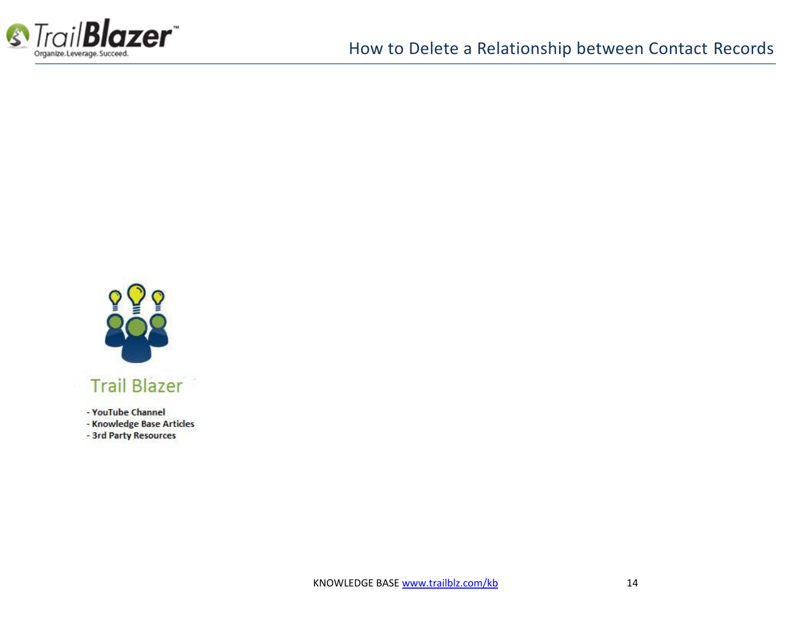



- YouTube Channel

- Knowledge Base Articles

- 3rd Party Resources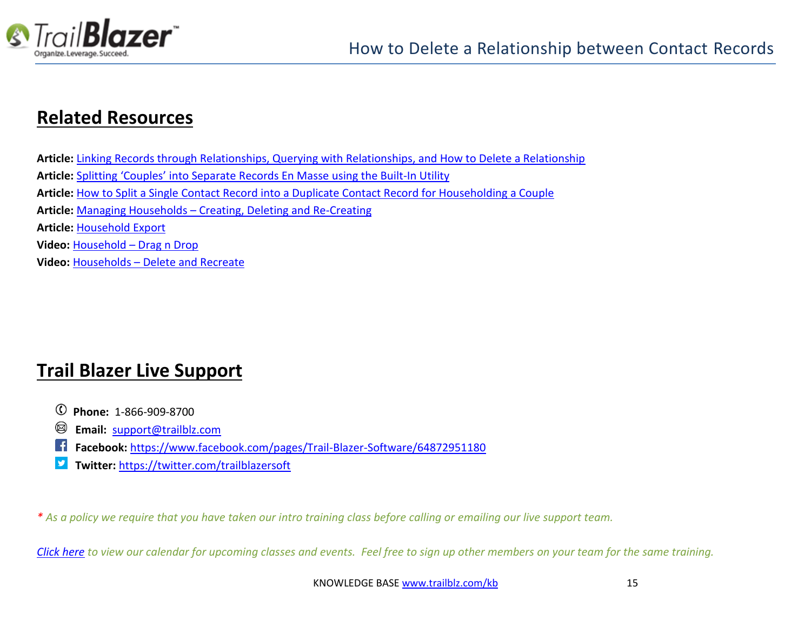

### **Related Resources**

**Article:** [Linking Records through Relationships, Querying with Relationships, and How to Delete a Relationship](http://trailblz.com/kb/?action=view&kb=274&cat=1) **Article:** Splitting 'Couples' [into Separate Records En Masse](http://trailblz.com/kb/?action=view&kb=174&cat=1) using the Built-In Utility **Article:** [How to Split a Single Contact Record into a Duplicate Contact Record for Householding a Couple](http://trailblz.com/kb/?action=view&kb=330&cat=1) **Article:** Managing Households – Creating, [Deleting and Re-Creating](http://trailblz.com/kb/?action=view&kb=213&cat=1) **Article:** [Household Export](http://trailblz.com/kb/?action=view&kb=41&cat=1) **Video:** Household – [Drag n Drop](https://www.youtube.com/watch?v=jjXmBslP3zc) **Video:** Households – [Delete and Recreate](https://www.youtube.com/watch?v=J0AUM42YhTk)

# **Trail Blazer Live Support**

- **Phone:** 1-866-909-8700
- **Email:** [support@trailblz.com](mailto:support@trailblz.com) Ø
- **Facebook:** <https://www.facebook.com/pages/Trail-Blazer-Software/64872951180>
- **Twitter:** <https://twitter.com/trailblazersoft>

*\* As a policy we require that you have taken our intro training class before calling or emailing our live support team.*

*[Click here](http://trailblz.com/Support/Learning/Events.aspx) to view our calendar for upcoming classes and events. Feel free to sign up other members on your team for the same training.*